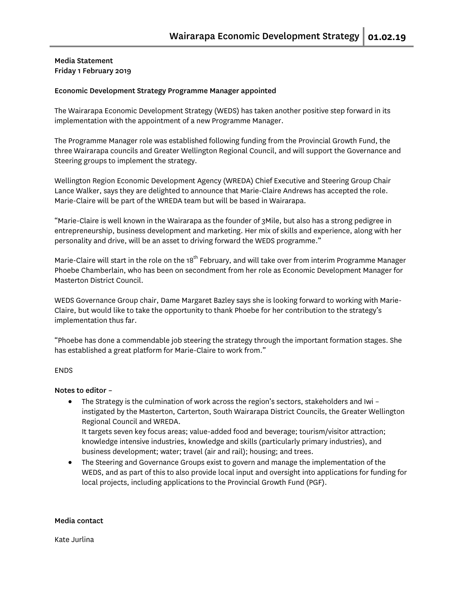## Media Statement Friday 1 February 2019

#### Economic Development Strategy Programme Manager appointed

The Wairarapa Economic Development Strategy (WEDS) has taken another positive step forward in its implementation with the appointment of a new Programme Manager.

The Programme Manager role was established following funding from the Provincial Growth Fund, the three Wairarapa councils and Greater Wellington Regional Council, and will support the Governance and Steering groups to implement the strategy.

Wellington Region Economic Development Agency (WREDA) Chief Executive and Steering Group Chair Lance Walker, says they are delighted to announce that Marie-Claire Andrews has accepted the role. Marie-Claire will be part of the WREDA team but will be based in Wairarapa.

"Marie-Claire is well known in the Wairarapa as the founder of 3Mile, but also has a strong pedigree in entrepreneurship, business development and marketing. Her mix of skills and experience, along with her personality and drive, will be an asset to driving forward the WEDS programme."

Marie-Claire will start in the role on the 18<sup>th</sup> February, and will take over from interim Programme Manager Phoebe Chamberlain, who has been on secondment from her role as Economic Development Manager for Masterton District Council.

WEDS Governance Group chair, Dame Margaret Bazley says she is looking forward to working with Marie-Claire, but would like to take the opportunity to thank Phoebe for her contribution to the strategy's implementation thus far.

"Phoebe has done a commendable job steering the strategy through the important formation stages. She has established a great platform for Marie-Claire to work from."

## ENDS

#### Notes to editor –

- The Strategy is the culmination of work across the region's sectors, stakeholders and Iwi instigated by the Masterton, Carterton, South Wairarapa District Councils, the Greater Wellington Regional Council and WREDA. It targets seven key focus areas; value-added food and beverage; tourism/visitor attraction; knowledge intensive industries, knowledge and skills (particularly primary industries), and business development; water; travel (air and rail); housing; and trees.
- The Steering and Governance Groups exist to govern and manage the implementation of the WEDS, and as part of this to also provide local input and oversight into applications for funding for local projects, including applications to the Provincial Growth Fund (PGF).

#### Media contact

Kate Jurlina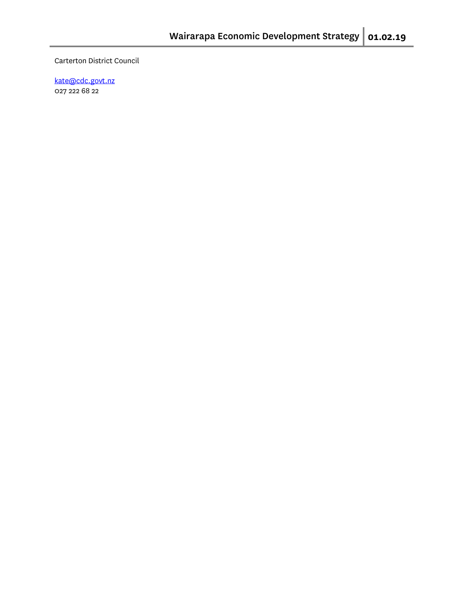Carterton District Council

[kate@cdc.govt.nz](mailto:kate@cdc.govt.nz) 027 222 68 22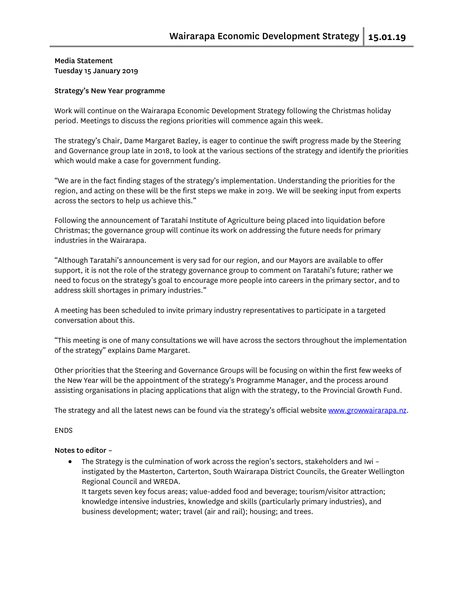## Media Statement Tuesday 15 January 2019

#### Strategy's New Year programme

Work will continue on the Wairarapa Economic Development Strategy following the Christmas holiday period. Meetings to discuss the regions priorities will commence again this week.

The strategy's Chair, Dame Margaret Bazley, is eager to continue the swift progress made by the Steering and Governance group late in 2018, to look at the various sections of the strategy and identify the priorities which would make a case for government funding.

"We are in the fact finding stages of the strategy's implementation. Understanding the priorities for the region, and acting on these will be the first steps we make in 2019. We will be seeking input from experts across the sectors to help us achieve this."

Following the announcement of Taratahi Institute of Agriculture being placed into liquidation before Christmas; the governance group will continue its work on addressing the future needs for primary industries in the Wairarapa.

"Although Taratahi's announcement is very sad for our region, and our Mayors are available to offer support, it is not the role of the strategy governance group to comment on Taratahi's future; rather we need to focus on the strategy's goal to encourage more people into careers in the primary sector, and to address skill shortages in primary industries."

A meeting has been scheduled to invite primary industry representatives to participate in a targeted conversation about this.

"This meeting is one of many consultations we will have across the sectors throughout the implementation of the strategy" explains Dame Margaret.

Other priorities that the Steering and Governance Groups will be focusing on within the first few weeks of the New Year will be the appointment of the strategy's Programme Manager, and the process around assisting organisations in placing applications that align with the strategy, to the Provincial Growth Fund.

The strategy and all the latest news can be found via the strategy's official website [www.growwairarapa.nz.](http://www.growwairarapa.nz/)

#### ENDS

#### Notes to editor –

• The Strategy is the culmination of work across the region's sectors, stakeholders and Iwi – instigated by the Masterton, Carterton, South Wairarapa District Councils, the Greater Wellington Regional Council and WREDA.

It targets seven key focus areas; value-added food and beverage; tourism/visitor attraction; knowledge intensive industries, knowledge and skills (particularly primary industries), and business development; water; travel (air and rail); housing; and trees.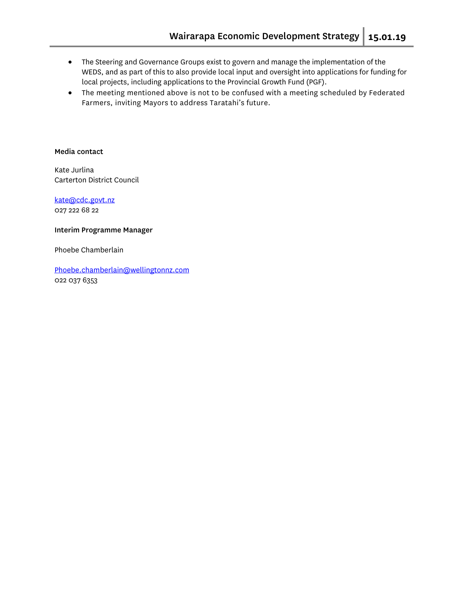- The Steering and Governance Groups exist to govern and manage the implementation of the WEDS, and as part of this to also provide local input and oversight into applications for funding for local projects, including applications to the Provincial Growth Fund (PGF).
- The meeting mentioned above is not to be confused with a meeting scheduled by Federated Farmers, inviting Mayors to address Taratahi's future.

#### Media contact

Kate Jurlina Carterton District Council

[kate@cdc.govt.nz](mailto:kate@cdc.govt.nz) 027 222 68 22

#### Interim Programme Manager

Phoebe Chamberlain

[Phoebe.chamberlain@wellingtonnz.com](mailto:Phoebe.chamberlain@wellingtonnz.com) 022 037 6353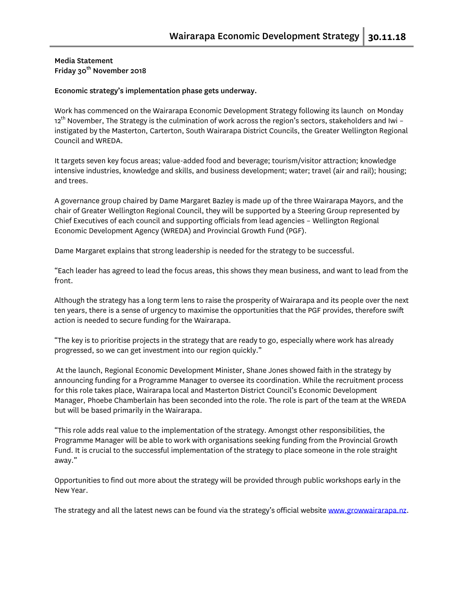## Media Statement Friday 30<sup>th</sup> November 2018

#### Economic strategy's implementation phase gets underway.

Work has commenced on the Wairarapa Economic Development Strategy following its launch on Monday  $12^{th}$  November, The Strategy is the culmination of work across the region's sectors, stakeholders and Iwi – instigated by the Masterton, Carterton, South Wairarapa District Councils, the Greater Wellington Regional Council and WREDA.

It targets seven key focus areas; value-added food and beverage; tourism/visitor attraction; knowledge intensive industries, knowledge and skills, and business development; water; travel (air and rail); housing; and trees.

A governance group chaired by Dame Margaret Bazley is made up of the three Wairarapa Mayors, and the chair of Greater Wellington Regional Council, they will be supported by a Steering Group represented by Chief Executives of each council and supporting officials from lead agencies – Wellington Regional Economic Development Agency (WREDA) and Provincial Growth Fund (PGF).

Dame Margaret explains that strong leadership is needed for the strategy to be successful.

"Each leader has agreed to lead the focus areas, this shows they mean business, and want to lead from the front.

Although the strategy has a long term lens to raise the prosperity of Wairarapa and its people over the next ten years, there is a sense of urgency to maximise the opportunities that the PGF provides, therefore swift action is needed to secure funding for the Wairarapa.

"The key is to prioritise projects in the strategy that are ready to go, especially where work has already progressed, so we can get investment into our region quickly."

At the launch, Regional Economic Development Minister, Shane Jones showed faith in the strategy by announcing funding for a Programme Manager to oversee its coordination. While the recruitment process for this role takes place, Wairarapa local and Masterton District Council's Economic Development Manager, Phoebe Chamberlain has been seconded into the role. The role is part of the team at the WREDA but will be based primarily in the Wairarapa.

"This role adds real value to the implementation of the strategy. Amongst other responsibilities, the Programme Manager will be able to work with organisations seeking funding from the Provincial Growth Fund. It is crucial to the successful implementation of the strategy to place someone in the role straight away."

Opportunities to find out more about the strategy will be provided through public workshops early in the New Year.

The strategy and all the latest news can be found via the strategy's official website [www.growwairarapa.nz.](http://www.growwairarapa.nz/)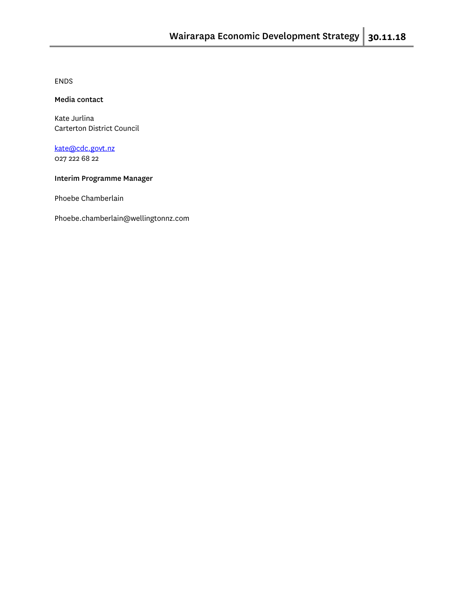ENDS

#### Media contact

Kate Jurlina Carterton District Council

[kate@cdc.govt.nz](mailto:kate@cdc.govt.nz) 027 222 68 22

#### Interim Programme Manager

Phoebe Chamberlain

Phoebe.chamberlain@wellingtonnz.com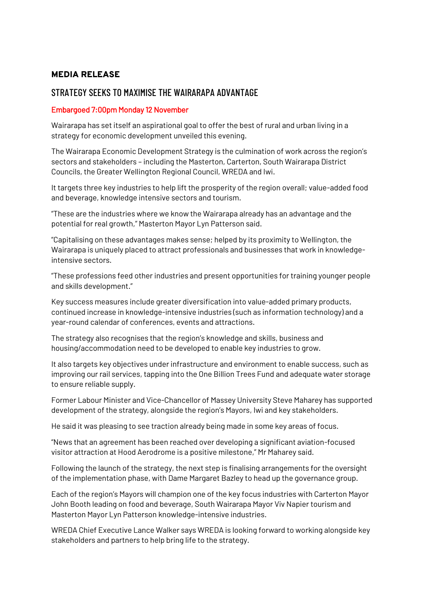# MEDIA RELEASE

# STRATEGY SEEKS TO MAXIMISE THE WAIRARAPA ADVANTAGE

# Embargoed 7:00pm Monday 12 November

Wairarapa has set itself an aspirational goal to offer the best of rural and urban living in a strategy for economic development unveiled this evening.

The Wairarapa Economic Development Strategy is the culmination of work across the region's sectors and stakeholders – including the Masterton, Carterton, South Wairarapa District Councils, the Greater Wellington Regional Council, WREDA and Iwi.

It targets three key industries to help lift the prosperity of the region overall; value-added food and beverage, knowledge intensive sectors and tourism.

"These are the industries where we know the Wairarapa already has an advantage and the potential for real growth," Masterton Mayor Lyn Patterson said.

"Capitalising on these advantages makes sense; helped by its proximity to Wellington, the Wairarapa is uniquely placed to attract professionals and businesses that work in knowledgeintensive sectors.

"These professions feed other industries and present opportunities for training younger people and skills development."

Key success measures include greater diversification into value-added primary products, continued increase in knowledge-intensive industries (such as information technology) and a year-round calendar of conferences, events and attractions.

The strategy also recognises that the region's knowledge and skills, business and housing/accommodation need to be developed to enable key industries to grow.

It also targets key objectives under infrastructure and environment to enable success, such as improving our rail services, tapping into the One Billion Trees Fund and adequate water storage to ensure reliable supply.

Former Labour Minister and Vice-Chancellor of Massey University Steve Maharey has supported development of the strategy, alongside the region's Mayors, Iwi and key stakeholders.

He said it was pleasing to see traction already being made in some key areas of focus.

"News that an agreement has been reached over developing a significant aviation-focused visitor attraction at Hood Aerodrome is a positive milestone," Mr Maharey said.

Following the launch of the strategy, the next step is finalising arrangements for the oversight of the implementation phase, with Dame Margaret Bazley to head up the governance group.

Each of the region's Mayors will champion one of the key focus industries with Carterton Mayor John Booth leading on food and beverage, South Wairarapa Mayor Viv Napier tourism and Masterton Mayor Lyn Patterson knowledge-intensive industries.

WREDA Chief Executive Lance Walker says WREDA is looking forward to working alongside key stakeholders and partners to help bring life to the strategy.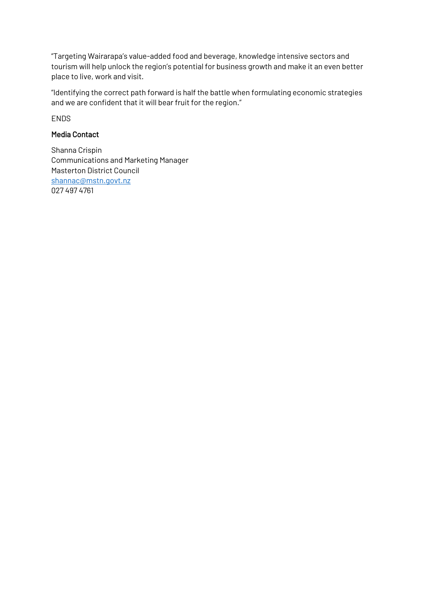"Targeting Wairarapa's value-added food and beverage, knowledge intensive sectors and tourism will help unlock the region's potential for business growth and make it an even better place to live, work and visit.

"Identifying the correct path forward is half the battle when formulating economic strategies and we are confident that it will bear fruit for the region."

**FNDS** 

# Media Contact

Shanna Crispin Communications and Marketing Manager Masterton District Council [shannac@mstn.govt.nz](mailto:shannac@mstn.govt.nz) 027 497 4761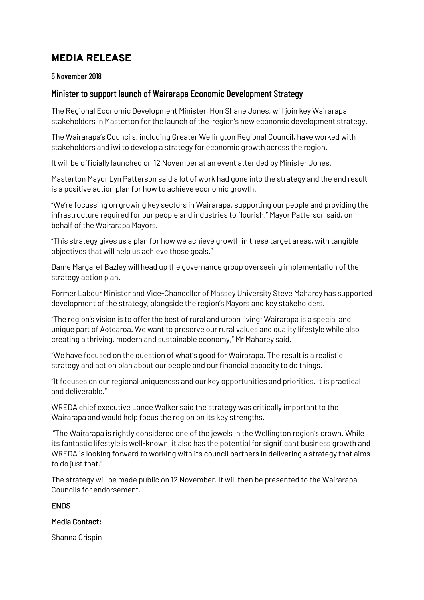# MEDIA RELEASE

# 5 November 2018

# Minister to support launch of Wairarapa Economic Development Strategy

The Regional Economic Development Minister, Hon Shane Jones, will join key Wairarapa stakeholders in Masterton for the launch of the region's new economic development strategy.

The Wairarapa's Councils, including Greater Wellington Regional Council, have worked with stakeholders and iwi to develop a strategy for economic growth across the region.

It will be officially launched on 12 November at an event attended by Minister Jones.

Masterton Mayor Lyn Patterson said a lot of work had gone into the strategy and the end result is a positive action plan for how to achieve economic growth.

"We're focussing on growing key sectors in Wairarapa, supporting our people and providing the infrastructure required for our people and industries to flourish," Mayor Patterson said, on behalf of the Wairarapa Mayors.

"This strategy gives us a plan for how we achieve growth in these target areas, with tangible objectives that will help us achieve those goals."

Dame Margaret Bazley will head up the governance group overseeing implementation of the strategy action plan.

Former Labour Minister and Vice-Chancellor of Massey University Steve Maharey has supported development of the strategy, alongside the region's Mayors and key stakeholders.

"The region's vision is to offer the best of rural and urban living; Wairarapa is a special and unique part of Aotearoa. We want to preserve our rural values and quality lifestyle while also creating a thriving, modern and sustainable economy," Mr Maharey said.

"We have focused on the question of what's good for Wairarapa. The result is a realistic strategy and action plan about our people and our financial capacity to do things.

"It focuses on our regional uniqueness and our key opportunities and priorities. It is practical and deliverable."

WREDA chief executive Lance Walker said the strategy was critically important to the Wairarapa and would help focus the region on its key strengths.

"The Wairarapa is rightly considered one of the jewels in the Wellington region's crown. While its fantastic lifestyle is well-known, it also has the potential for significant business growth and WREDA is looking forward to working with its council partners in delivering a strategy that aims to do just that."

The strategy will be made public on 12 November. It will then be presented to the Wairarapa Councils for endorsement.

## **ENDS**

## Media Contact:

Shanna Crispin